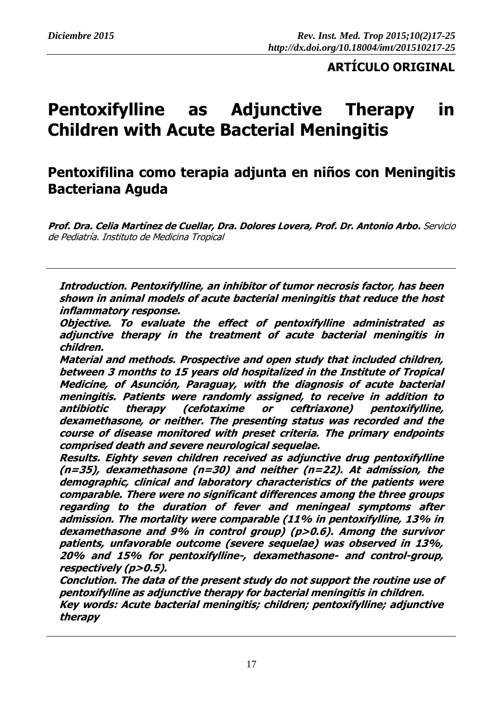## **ARTÍCULO ORIGINAL**

# **Pentoxifylline as Adjunctive Therapy in Children with Acute Bacterial Meningitis**

## **Pentoxifilina como terapia adjunta en niños con Meningitis Bacteriana Aguda**

**Prof. Dra. Celia Martínez de Cuellar, Dra. Dolores Lovera, Prof. Dr. Antonio Arbo.** Servicio de Pediatría. Instituto de Medicina Tropical

**Introduction. Pentoxifylline, an inhibitor of tumor necrosis factor, has been shown in animal models of acute bacterial meningitis that reduce the host inflammatory response.**

**Objective. To evaluate the effect of pentoxifylline administrated as adjunctive therapy in the treatment of acute bacterial meningitis in children.**

**Material and methods. Prospective and open study that included children, between 3 months to 15 years old hospitalized in the Institute of Tropical Medicine, of Asunción, Paraguay, with the diagnosis of acute bacterial meningitis. Patients were randomly assigned, to receive in addition to antibiotic therapy (cefotaxime or ceftriaxone) pentoxifylline, dexamethasone, or neither. The presenting status was recorded and the course of disease monitored with preset criteria. The primary endpoints comprised death and severe neurological sequelae.**

**Results. Eighty seven children received as adjunctive drug pentoxifylline (n=35), dexamethasone (n=30) and neither (n=22). At admission, the demographic, clinical and laboratory characteristics of the patients were comparable. There were no significant differences among the three groups regarding to the duration of fever and meningeal symptoms after admission. The mortality were comparable (11% in pentoxifylline, 13% in dexamethasone and 9% in control group) (p>0.6). Among the survivor patients, unfavorable outcome (severe sequelae) was observed in 13%, 20% and 15% for pentoxifylline-, dexamethasone- and control-group, respectively (p>0.5).**

**Conclution. The data of the present study do not support the routine use of pentoxifylline as adjunctive therapy for bacterial meningitis in children. Key words: Acute bacterial meningitis; children; pentoxifylline; adjunctive therapy**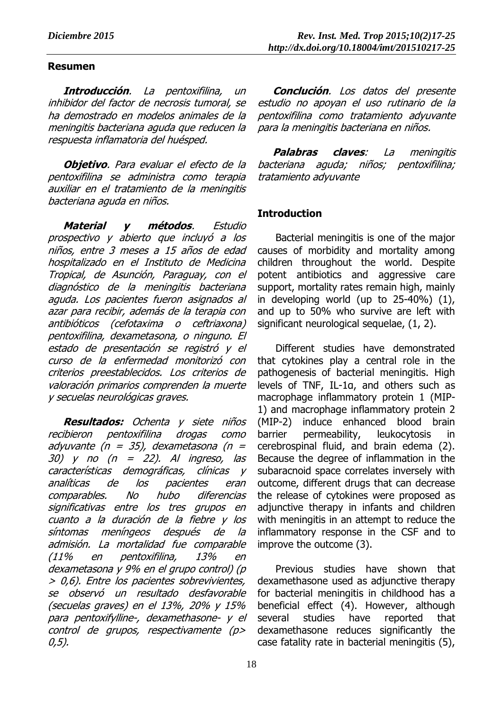## **Resumen**

**Introducción**. La pentoxifilina, un inhibidor del factor de necrosis tumoral, se ha demostrado en modelos animales de la meningitis bacteriana aguda que reducen la respuesta inflamatoria del huésped.

**Objetivo**. Para evaluar el efecto de la pentoxifilina se administra como terapia auxiliar en el tratamiento de la meningitis bacteriana aguda en niños.

**Material y métodos**. Estudio prospectivo y abierto que incluyó a los niños, entre 3 meses a 15 años de edad hospitalizado en el Instituto de Medicina Tropical, de Asunción, Paraguay, con el diagnóstico de la meningitis bacteriana aguda. Los pacientes fueron asignados al azar para recibir, además de la terapia con antibióticos (cefotaxima o ceftriaxona) pentoxifilina, dexametasona, o ninguno. El estado de presentación se registró y el curso de la enfermedad monitorizó con criterios preestablecidos. Los criterios de valoración primarios comprenden la muerte y secuelas neurológicas graves.

**Resultados:** Ochenta y siete niños recibieron pentoxifilina drogas como adyuvante (n = 35), dexametasona (n = 30) y no  $(n = 22)$ . Al ingreso, las características demográficas, clínicas y analíticas de los pacientes eran comparables. No hubo diferencias significativas entre los tres grupos en cuanto a la duración de la fiebre y los síntomas meníngeos después de la admisión. La mortalidad fue comparable (11% en pentoxifilina, 13% en dexametasona y 9% en el grupo control) (p > 0,6). Entre los pacientes sobrevivientes, se observó un resultado desfavorable (secuelas graves) en el 13%, 20% y 15% para pentoxifylline-, dexamethasone- y el control de grupos, respectivamente (p> 0,5).

**Conclución**. Los datos del presente estudio no apoyan el uso rutinario de la pentoxifilina como tratamiento adyuvante para la meningitis bacteriana en niños.

**Palabras claves**: La meningitis bacteriana aguda; niños; pentoxifilina; tratamiento adyuvante

## **Introduction**

Bacterial meningitis is one of the major causes of morbidity and mortality among children throughout the world. Despite potent antibiotics and aggressive care support, mortality rates remain high, mainly in developing world (up to 25-40%) (1), and up to 50% who survive are left with significant neurological sequelae, (1, 2).

Different studies have demonstrated that cytokines play a central role in the pathogenesis of bacterial meningitis. High levels of TNF, IL-1α, and others such as macrophage inflammatory protein 1 (MIP-1) and macrophage inflammatory protein 2 (MIP-2) induce enhanced blood brain barrier permeability, leukocytosis in cerebrospinal fluid, and brain edema (2). Because the degree of inflammation in the subaracnoid space correlates inversely with outcome, different drugs that can decrease the release of cytokines were proposed as adjunctive therapy in infants and children with meningitis in an attempt to reduce the inflammatory response in the CSF and to improve the outcome (3).

Previous studies have shown that dexamethasone used as adjunctive therapy for bacterial meningitis in childhood has a beneficial effect (4). However, although several studies have reported that dexamethasone reduces significantly the case fatality rate in bacterial meningitis (5),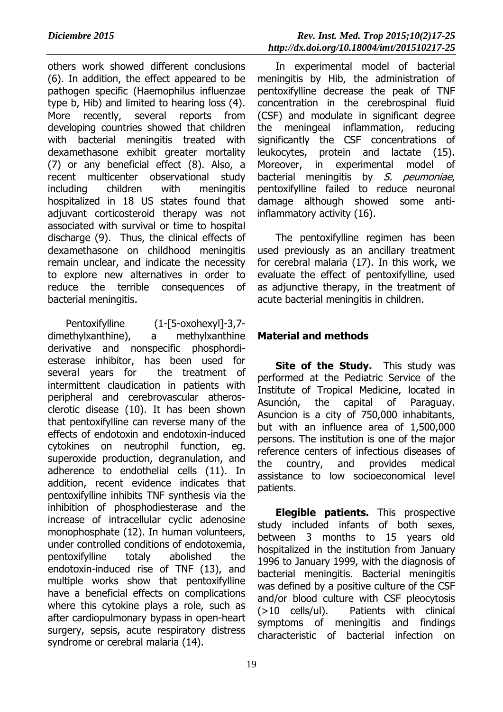others work showed different conclusions (6). In addition, the effect appeared to be pathogen specific (Haemophilus influenzae type b, Hib) and limited to hearing loss (4). More recently, several reports from developing countries showed that children with bacterial meningitis treated with dexamethasone exhibit greater mortality (7) or any beneficial effect (8). Also, a recent multicenter observational study including children with meningitis hospitalized in 18 US states found that adjuvant corticosteroid therapy was not associated with survival or time to hospital discharge (9). Thus, the clinical effects of dexamethasone on childhood meningitis remain unclear, and indicate the necessity to explore new alternatives in order to reduce the terrible consequences of bacterial meningitis.

Pentoxifylline (1-[5-oxohexyl]-3,7 dimethylxanthine), a methylxanthine derivative and nonspecific phosphordiesterase inhibitor, has been used for several years for the treatment of intermittent claudication in patients with peripheral and cerebrovascular atherosclerotic disease (10). It has been shown that pentoxifylline can reverse many of the effects of endotoxin and endotoxin-induced cytokines on neutrophil function, eg. superoxide production, degranulation, and adherence to endothelial cells (11). In addition, recent evidence indicates that pentoxifylline inhibits TNF synthesis via the inhibition of phosphodiesterase and the increase of intracellular cyclic adenosine monophosphate (12). In human volunteers, under controlled conditions of endotoxemia, pentoxifylline totaly abolished the endotoxin-induced rise of TNF (13), and multiple works show that pentoxifylline have a beneficial effects on complications where this cytokine plays a role, such as after cardiopulmonary bypass in open-heart surgery, sepsis, acute respiratory distress syndrome or cerebral malaria (14).

In experimental model of bacterial meningitis by Hib, the administration of pentoxifylline decrease the peak of TNF concentration in the cerebrospinal fluid (CSF) and modulate in significant degree the meningeal inflammation, reducing significantly the CSF concentrations of leukocytes, protein and lactate (15). Moreover, in experimental model of bacterial meningitis by S. peumoniae, pentoxifylline failed to reduce neuronal damage although showed some antiinflammatory activity (16).

The pentoxifylline regimen has been used previously as an ancillary treatment for cerebral malaria (17). In this work, we evaluate the effect of pentoxifylline, used as adjunctive therapy, in the treatment of acute bacterial meningitis in children.

## **Material and methods**

**Site of the Study.** This study was performed at the Pediatric Service of the Institute of Tropical Medicine, located in Asunción, the capital of Paraguay. Asuncion is a city of 750,000 inhabitants, but with an influence area of 1,500,000 persons. The institution is one of the major reference centers of infectious diseases of the country, and provides medical assistance to low socioeconomical level patients.

**Elegible patients.** This prospective study included infants of both sexes, between 3 months to 15 years old hospitalized in the institution from January 1996 to January 1999, with the diagnosis of bacterial meningitis. Bacterial meningitis was defined by a positive culture of the CSF and/or blood culture with CSF pleocytosis (>10 cells/ul). Patients with clinical symptoms of meningitis and findings characteristic of bacterial infection on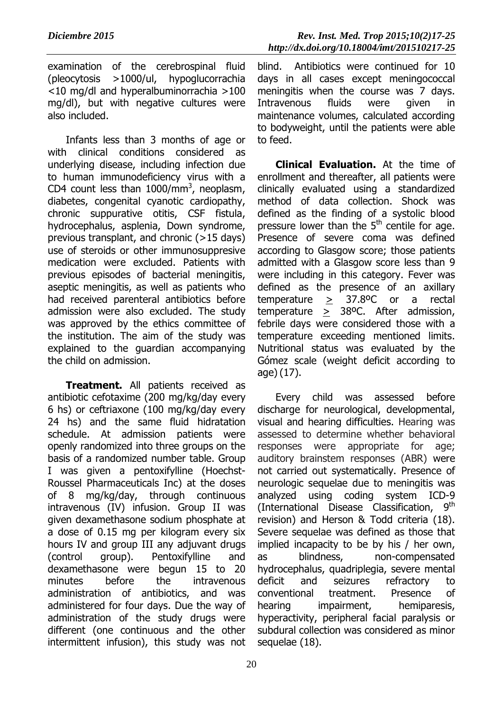examination of the cerebrospinal fluid (pleocytosis >1000/ul, hypoglucorrachia <10 mg/dl and hyperalbuminorrachia >100 mg/dl), but with negative cultures were also included.

Infants less than 3 months of age or with clinical conditions considered as underlying disease, including infection due to human immunodeficiency virus with a CD4 count less than  $1000/\text{mm}^3$ , neoplasm, diabetes, congenital cyanotic cardiopathy, chronic suppurative otitis, CSF fistula, hydrocephalus, asplenia, Down syndrome, previous transplant, and chronic (>15 days) use of steroids or other immunosuppresive medication were excluded. Patients with previous episodes of bacterial meningitis, aseptic meningitis, as well as patients who had received parenteral antibiotics before admission were also excluded. The study was approved by the ethics committee of the institution. The aim of the study was explained to the guardian accompanying the child on admission.

**Treatment.** All patients received as antibiotic cefotaxime (200 mg/kg/day every 6 hs) or ceftriaxone (100 mg/kg/day every 24 hs) and the same fluid hidratation schedule. At admission patients were openly randomized into three groups on the basis of a randomized number table. Group I was given a pentoxifylline (Hoechst-Roussel Pharmaceuticals Inc) at the doses of 8 mg/kg/day, through continuous intravenous (IV) infusion. Group II was given dexamethasone sodium phosphate at a dose of 0.15 mg per kilogram every six hours IV and group III any adjuvant drugs (control group). Pentoxifylline and dexamethasone were begun 15 to 20 minutes before the intravenous administration of antibiotics, and was administered for four days. Due the way of administration of the study drugs were different (one continuous and the other intermittent infusion), this study was not

blind. Antibiotics were continued for 10 days in all cases except meningococcal meningitis when the course was 7 days. Intravenous fluids were given in maintenance volumes, calculated according to bodyweight, until the patients were able to feed.

**Clinical Evaluation.** At the time of enrollment and thereafter, all patients were clinically evaluated using a standardized method of data collection. Shock was defined as the finding of a systolic blood pressure lower than the 5<sup>th</sup> centile for age. Presence of severe coma was defined according to Glasgow score; those patients admitted with a Glasgow score less than 9 were including in this category. Fever was defined as the presence of an axillary temperature > 37.8ºC or a rectal temperature > 38ºC. After admission, febrile days were considered those with a temperature exceeding mentioned limits. Nutritional status was evaluated by the Gómez scale (weight deficit according to age) (17).

Every child was assessed before discharge for neurological, developmental, visual and hearing difficulties. Hearing was assessed to determine whether behavioral responses were appropriate for age; auditory brainstem responses (ABR) were not carried out systematically. Presence of neurologic sequelae due to meningitis was analyzed using coding system ICD-9 (International Disease Classification, 9 q<sup>th</sup> revision) and Herson & Todd criteria (18). Severe sequelae was defined as those that implied incapacity to be by his / her own, as blindness, non-compensated hydrocephalus, quadriplegia, severe mental deficit and seizures refractory to conventional treatment. Presence of hearing impairment, hemiparesis, hyperactivity, peripheral facial paralysis or subdural collection was considered as minor sequelae (18).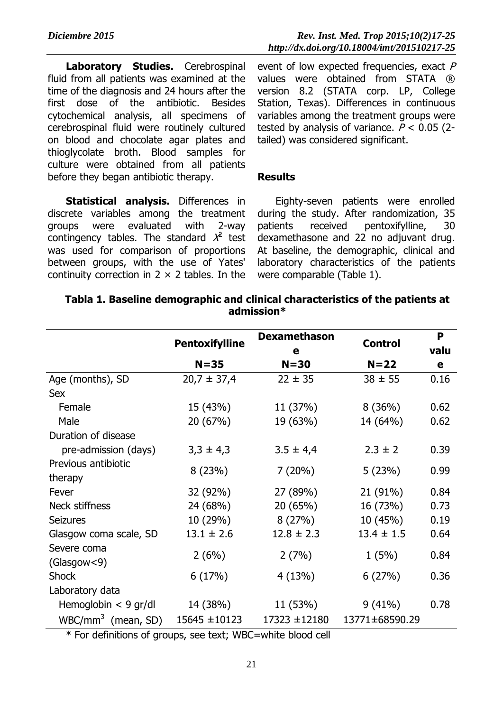**Laboratory Studies.** Cerebrospinal fluid from all patients was examined at the time of the diagnosis and 24 hours after the first dose of the antibiotic. Besides cytochemical analysis, all specimens of cerebrospinal fluid were routinely cultured on blood and chocolate agar plates and thioglycolate broth. Blood samples for culture were obtained from all patients before they began antibiotic therapy.

**Statistical analysis.** Differences in discrete variables among the treatment groups were evaluated with 2-way contingency tables. The standard  $\chi^2$  test was used for comparison of proportions between groups, with the use of Yates' continuity correction in  $2 \times 2$  tables. In the

event of low expected frequencies, exact  $P$ values were obtained from STATA ® version 8.2 (STATA corp. LP, College Station, Texas). Differences in continuous variables among the treatment groups were tested by analysis of variance.  $P < 0.05$  (2tailed) was considered significant.

#### **Results**

Eighty-seven patients were enrolled during the study. After randomization, 35 patients received pentoxifylline, 30 dexamethasone and 22 no adjuvant drug. At baseline, the demographic, clinical and laboratory characteristics of the patients were comparable (Table 1).

|                        |                       | <b>Dexamethason</b> |                | P    |
|------------------------|-----------------------|---------------------|----------------|------|
|                        | <b>Pentoxifylline</b> | е                   | <b>Control</b> | valu |
|                        | $N = 35$              | $N = 30$            | $N=22$         | e    |
| Age (months), SD       | $20,7 \pm 37,4$       | $22 \pm 35$         | $38 \pm 55$    | 0.16 |
| <b>Sex</b>             |                       |                     |                |      |
| Female                 | 15 (43%)              | 11 (37%)            | 8(36%)         | 0.62 |
| Male                   | 20 (67%)              | 19 (63%)            | 14 (64%)       | 0.62 |
| Duration of disease    |                       |                     |                |      |
| pre-admission (days)   | $3,3 \pm 4,3$         | $3.5 \pm 4.4$       | $2.3 \pm 2$    | 0.39 |
| Previous antibiotic    | 8(23%)                | 7(20%)              |                | 0.99 |
| therapy                |                       |                     | 5(23%)         |      |
| Fever                  | 32 (92%)              | 27 (89%)            | 21 (91%)       | 0.84 |
| Neck stiffness         | 24 (68%)              | 20(65%)             | 16 (73%)       | 0.73 |
| <b>Seizures</b>        | 10 (29%)              | 8(27%)              | 10 (45%)       | 0.19 |
| Glasgow coma scale, SD | $13.1 \pm 2.6$        | $12.8 \pm 2.3$      | $13.4 \pm 1.5$ | 0.64 |
| Severe coma            |                       |                     |                |      |
| (Glassgow < 9)         | 2(6%)                 | 2(7%)               | 1(5%)          | 0.84 |
| <b>Shock</b>           | 6(17%)                | 4(13%)              | 6(27%)         | 0.36 |
| Laboratory data        |                       |                     |                |      |
| Hemoglobin $<$ 9 gr/dl | 14 (38%)              | 11 (53%)            | $9(41\%)$      | 0.78 |
| $WBC/mm^3$ (mean, SD)  | $15645 \pm 10123$     | $17323 \pm 12180$   | 13771±68590.29 |      |

## **Tabla 1. Baseline demographic and clinical characteristics of the patients at admission\***

\* For definitions of groups, see text; WBC=white blood cell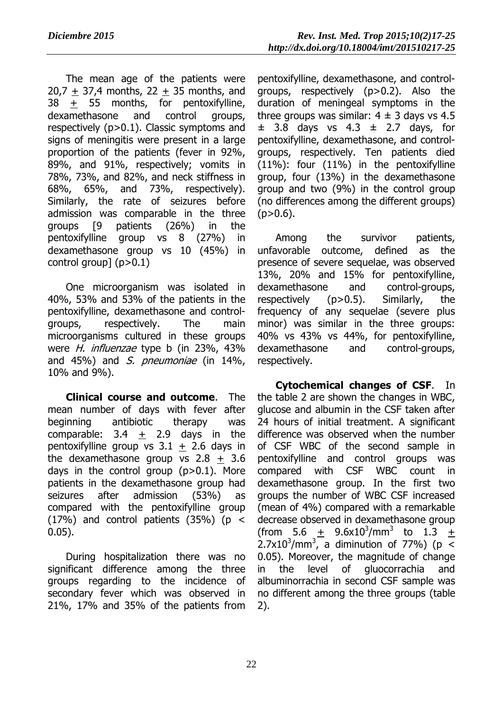The mean age of the patients were  $20.7 + 37.4$  months,  $22 + 35$  months, and 38 + 55 months, for pentoxifylline, dexamethasone and control groups, respectively (p>0.1). Classic symptoms and signs of meningitis were present in a large proportion of the patients (fever in 92%, 89%, and 91%, respectively; vomits in 78%, 73%, and 82%, and neck stiffness in 68%, 65%, and 73%, respectively). Similarly, the rate of seizures before admission was comparable in the three groups [9 patients (26%) in the pentoxifylline group vs 8 (27%) in dexamethasone group vs 10 (45%) in control group]  $(p>0.1)$ 

One microorganism was isolated in 40%, 53% and 53% of the patients in the pentoxifylline, dexamethasone and controlgroups, respectively. The main microorganisms cultured in these groups were *H. influenzae* type b (in 23%, 43% and 45%) and S. pneumoniae (in 14%, 10% and 9%).

**Clinical course and outcome**. The mean number of days with fever after beginning antibiotic therapy was comparable:  $3.4 + 2.9$  days in the pentoxifylline group vs  $3.1 + 2.6$  days in the dexamethasone group vs  $2.8 + 3.6$ days in the control group  $(p>0.1)$ . More patients in the dexamethasone group had seizures after admission (53%) as compared with the pentoxifylline group (17%) and control patients (35%) ( $p \le$ 0.05).

During hospitalization there was no significant difference among the three groups regarding to the incidence of secondary fever which was observed in 21%, 17% and 35% of the patients from

pentoxifylline, dexamethasone, and controlgroups, respectively (p>0.2). Also the duration of meningeal symptoms in the three groups was similar:  $4 \pm 3$  days vs 4.5  $\pm$  3.8 days vs 4.3  $\pm$  2.7 days, for pentoxifylline, dexamethasone, and controlgroups, respectively. Ten patients died (11%): four (11%) in the pentoxifylline group, four (13%) in the dexamethasone group and two (9%) in the control group (no differences among the different groups)  $(p>0.6)$ .

Among the survivor patients, unfavorable outcome, defined as the presence of severe sequelae, was observed 13%, 20% and 15% for pentoxifylline, dexamethasone and control-groups, respectively (p>0.5). Similarly, the frequency of any sequelae (severe plus minor) was similar in the three groups: 40% vs 43% vs 44%, for pentoxifylline, dexamethasone and control-groups, respectively.

**Cytochemical changes of CSF**. In the table 2 are shown the changes in WBC, glucose and albumin in the CSF taken after 24 hours of initial treatment. A significant difference was observed when the number of CSF WBC of the second sample in pentoxifylline and control groups was compared with CSF WBC count in dexamethasone group. In the first two groups the number of WBC CSF increased (mean of 4%) compared with a remarkable decrease observed in dexamethasone group (from 5.6  $\pm$  9.6x10<sup>3</sup>/mm<sup>3</sup> to 1.3  $\pm$  $2.7 \times 10^3$ /mm<sup>3</sup>, a diminution of 77%) (p < 0.05). Moreover, the magnitude of change in the level of gluocorrachia and albuminorrachia in second CSF sample was no different among the three groups (table 2).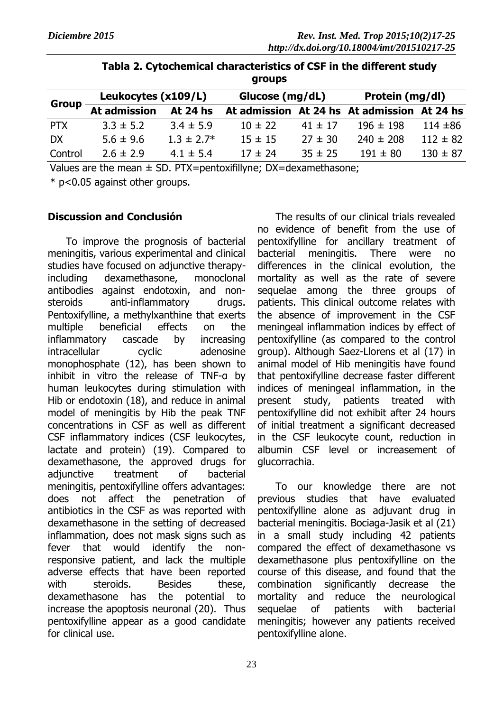| <b>Group</b> | Leukocytes (x109/L)   |                | Glucose (mg/dL) |             | Protein (mg/dl)                             |              |
|--------------|-----------------------|----------------|-----------------|-------------|---------------------------------------------|--------------|
|              | At admission At 24 hs |                |                 |             | At admission At 24 hs At admission At 24 hs |              |
| <b>PTX</b>   | $3.3 \pm 5.2$         | $3.4 \pm 5.9$  | $10 \pm 22$     | $41 \pm 17$ | $196 \pm 198$                               | $114 + 86$   |
| DX           | $5.6 \pm 9.6$         | $1.3 \pm 2.7*$ | $15 \pm 15$     | $27 \pm 30$ | $240 \pm 208$                               | $112 \pm 82$ |
| Control      | $2.6 \pm 2.9$         | $4.1 \pm 5.4$  | $17 \pm 24$     | $35 \pm 25$ | $191 \pm 80$                                | $130 \pm 87$ |

|  | Tabla 2. Cytochemical characteristics of CSF in the different study |  |  |
|--|---------------------------------------------------------------------|--|--|
|  | groups                                                              |  |  |

Values are the mean  $\pm$  SD. PTX=pentoxifillyne; DX=dexamethasone;

\* p<0.05 against other groups.

#### **Discussion and Conclusión**

To improve the prognosis of bacterial meningitis, various experimental and clinical studies have focused on adjunctive therapyincluding dexamethasone, monoclonal antibodies against endotoxin, and nonsteroids anti-inflammatory drugs. Pentoxifylline, a methylxanthine that exerts multiple beneficial effects on the inflammatory cascade by increasing intracellular cyclic adenosine monophosphate (12), has been shown to inhibit in vitro the release of TNF-α by human leukocytes during stimulation with Hib or endotoxin (18), and reduce in animal model of meningitis by Hib the peak TNF concentrations in CSF as well as different CSF inflammatory indices (CSF leukocytes, lactate and protein) (19). Compared to dexamethasone, the approved drugs for adjunctive treatment of bacterial meningitis, pentoxifylline offers advantages: does not affect the penetration of antibiotics in the CSF as was reported with dexamethasone in the setting of decreased inflammation, does not mask signs such as fever that would identify the nonresponsive patient, and lack the multiple adverse effects that have been reported with steroids. Besides these, dexamethasone has the potential to increase the apoptosis neuronal (20). Thus pentoxifylline appear as a good candidate for clinical use.

The results of our clinical trials revealed no evidence of benefit from the use of pentoxifylline for ancillary treatment of bacterial meningitis. There were no differences in the clinical evolution, the mortality as well as the rate of severe sequelae among the three groups of patients. This clinical outcome relates with the absence of improvement in the CSF meningeal inflammation indices by effect of pentoxifylline (as compared to the control group). Although Saez-Llorens et al (17) in animal model of Hib meningitis have found that pentoxifylline decrease faster different indices of meningeal inflammation, in the present study, patients treated with pentoxifylline did not exhibit after 24 hours of initial treatment a significant decreased in the CSF leukocyte count, reduction in albumin CSF level or increasement of glucorrachia.

To our knowledge there are not previous studies that have evaluated pentoxifylline alone as adjuvant drug in bacterial meningitis. Bociaga-Jasik et al (21) in a small study including 42 patients compared the effect of dexamethasone vs dexamethasone plus pentoxifylline on the course of this disease, and found that the combination significantly decrease the mortality and reduce the neurological sequelae of patients with bacterial meningitis; however any patients received pentoxifylline alone.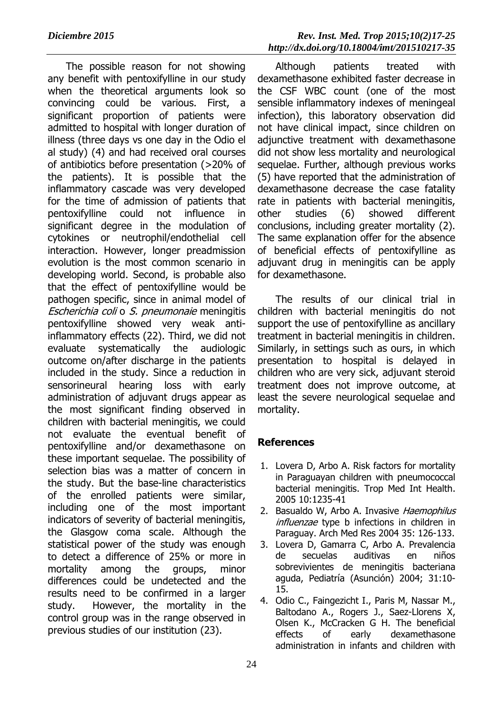The possible reason for not showing any benefit with pentoxifylline in our study when the theoretical arguments look so convincing could be various. First, a significant proportion of patients were admitted to hospital with longer duration of illness (three days vs one day in the Odio el al study) (4) and had received oral courses of antibiotics before presentation (>20% of the patients). It is possible that the inflammatory cascade was very developed for the time of admission of patients that pentoxifylline could not influence in significant degree in the modulation of cytokines or neutrophil/endothelial cell interaction. However, longer preadmission evolution is the most common scenario in developing world. Second, is probable also that the effect of pentoxifylline would be pathogen specific, since in animal model of Escherichia coli o S. pneumonaie meningitis pentoxifylline showed very weak antiinflammatory effects (22). Third, we did not evaluate systematically the audiologic outcome on/after discharge in the patients included in the study. Since a reduction in sensorineural hearing loss with early administration of adjuvant drugs appear as the most significant finding observed in children with bacterial meningitis, we could not evaluate the eventual benefit of pentoxifylline and/or dexamethasone on these important sequelae. The possibility of selection bias was a matter of concern in the study. But the base-line characteristics of the enrolled patients were similar, including one of the most important indicators of severity of bacterial meningitis, the Glasgow coma scale. Although the statistical power of the study was enough to detect a difference of 25% or more in mortality among the groups, minor differences could be undetected and the results need to be confirmed in a larger study. However, the mortality in the control group was in the range observed in previous studies of our institution (23).

Although patients treated with dexamethasone exhibited faster decrease in the CSF WBC count (one of the most sensible inflammatory indexes of meningeal infection), this laboratory observation did not have clinical impact, since children on adjunctive treatment with dexamethasone did not show less mortality and neurological sequelae. Further, although previous works (5) have reported that the administration of dexamethasone decrease the case fatality rate in patients with bacterial meningitis, other studies (6) showed different conclusions, including greater mortality (2). The same explanation offer for the absence of beneficial effects of pentoxifylline as adjuvant drug in meningitis can be apply for dexamethasone.

The results of our clinical trial in children with bacterial meningitis do not support the use of pentoxifylline as ancillary treatment in bacterial meningitis in children. Similarly, in settings such as ours, in which presentation to hospital is delayed in children who are very sick, adjuvant steroid treatment does not improve outcome, at least the severe neurological sequelae and mortality.

## **References**

- 1. Lovera D, Arbo A. Risk factors for [mortality](http://www.ncbi.nlm.nih.gov/pubmed/16359403?itool=EntrezSystem2.PEntrez.Pubmed.Pubmed_ResultsPanel.Pubmed_RVDocSum&ordinalpos=1) in Paraguayan children with [pneumococcal](http://www.ncbi.nlm.nih.gov/pubmed/16359403?itool=EntrezSystem2.PEntrez.Pubmed.Pubmed_ResultsPanel.Pubmed_RVDocSum&ordinalpos=1) bacterial [meningitis.](http://www.ncbi.nlm.nih.gov/pubmed/16359403?itool=EntrezSystem2.PEntrez.Pubmed.Pubmed_ResultsPanel.Pubmed_RVDocSum&ordinalpos=1) Trop Med Int Health. 2005 10:1235-41
- 2. Basualdo W, Arbo A. Invasive Haemophilus influenzae type b infections in children in Paraguay. Arch Med Res 2004 35: 126-133.
- 3. Lovera D, Gamarra C, Arbo A. Prevalencia de secuelas auditivas en niños sobrevivientes de meningitis bacteriana aguda, Pediatría (Asunción) 2004; 31:10- 15.
- 4. Odio C., Faingezicht I., Paris M, Nassar M., Baltodano A., Rogers J., Saez-Llorens X, Olsen K., McCracken G H. The beneficial effects of early dexamethasone administration in infants and children with